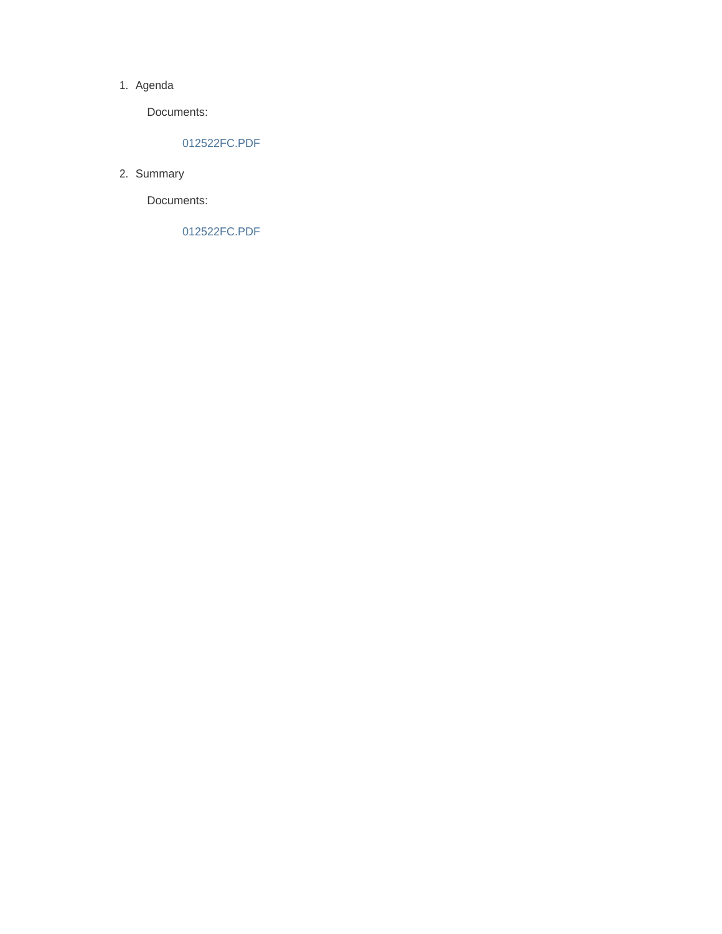#### 1. Agenda

Documents:

### 012522FC.PDF

2. Summary

Documents:

012522FC.PDF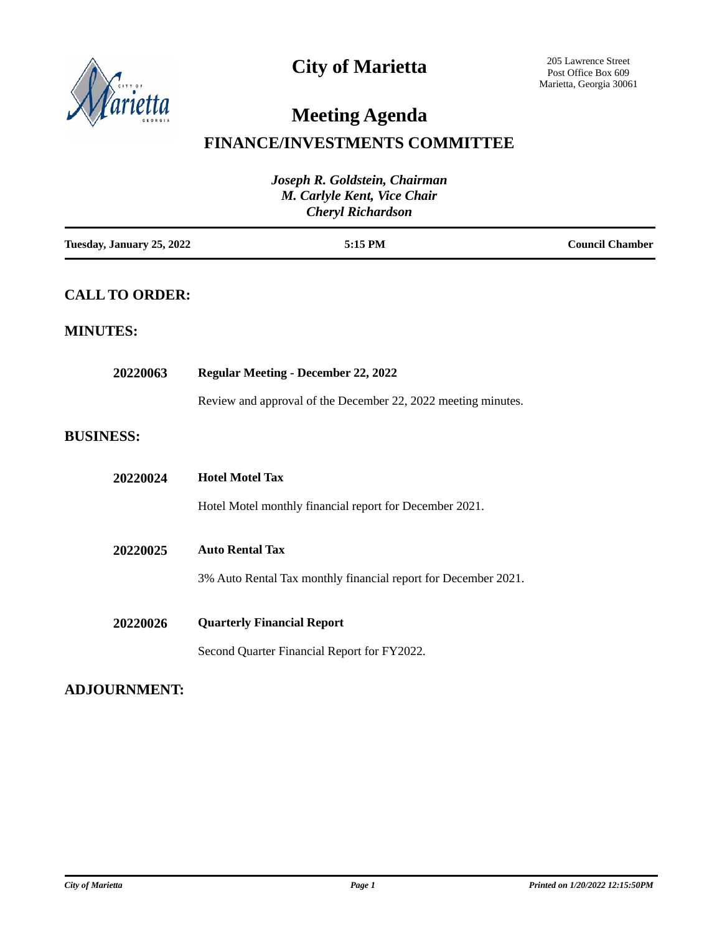

### **City of Marietta**

# **Meeting Agenda**

### **FINANCE/INVESTMENTS COMMITTEE**

| Joseph R. Goldstein, Chairman<br>M. Carlyle Kent, Vice Chair<br><b>Cheryl Richardson</b> |                                                                |                        |  |
|------------------------------------------------------------------------------------------|----------------------------------------------------------------|------------------------|--|
| Tuesday, January 25, 2022                                                                | 5:15 PM                                                        | <b>Council Chamber</b> |  |
| <b>CALL TO ORDER:</b>                                                                    |                                                                |                        |  |
| <b>MINUTES:</b>                                                                          |                                                                |                        |  |
| 20220063                                                                                 | <b>Regular Meeting - December 22, 2022</b>                     |                        |  |
|                                                                                          | Review and approval of the December 22, 2022 meeting minutes.  |                        |  |
| <b>BUSINESS:</b>                                                                         |                                                                |                        |  |
| 20220024                                                                                 | <b>Hotel Motel Tax</b>                                         |                        |  |
|                                                                                          | Hotel Motel monthly financial report for December 2021.        |                        |  |
| 20220025                                                                                 | <b>Auto Rental Tax</b>                                         |                        |  |
|                                                                                          | 3% Auto Rental Tax monthly financial report for December 2021. |                        |  |
| 20220026                                                                                 | <b>Quarterly Financial Report</b>                              |                        |  |
|                                                                                          | Second Quarter Financial Report for FY2022.                    |                        |  |

### **ADJOURNMENT:**